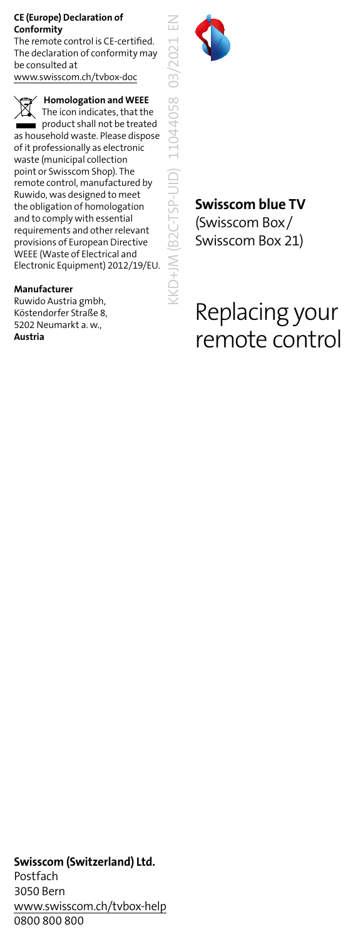#### **CE (Europe) Declaration of Conformity**

The remote control is CE-certified. The declaration of conformity may be consulted at www.swisscom.ch/tvbox-doc

 **Homologation and WEEE** The icon indicates, that the product shall not be treated as household waste. Please dispose of it professionally as electronic waste (municipal collection point or Swisscom Shop). The remote control, manufactured by Ruwido, was designed to meet the obligation of homologation and to comply with essential requirements and other relevant provisions of European Directive WEEE (Waste of Electrical and Electronic Equipment) 2012/19/EU.

#### **Manufacturer**

Ruwido Austria gmbh, Köstendorfer Straße 8, 5202 Neumarkt a. w., **Austria**



KKD+JM (B2C-TSP-UID) 11044058 03/2021 EN

### **Swisscom blue TV** (Swisscom Box/

Swisscom Box 21)

# Replacing your remote control

### **Swisscom (Switzerland) Ltd.**

Postfach 3050 Bern www.swisscom.ch/tvbox-help 0800 800 800